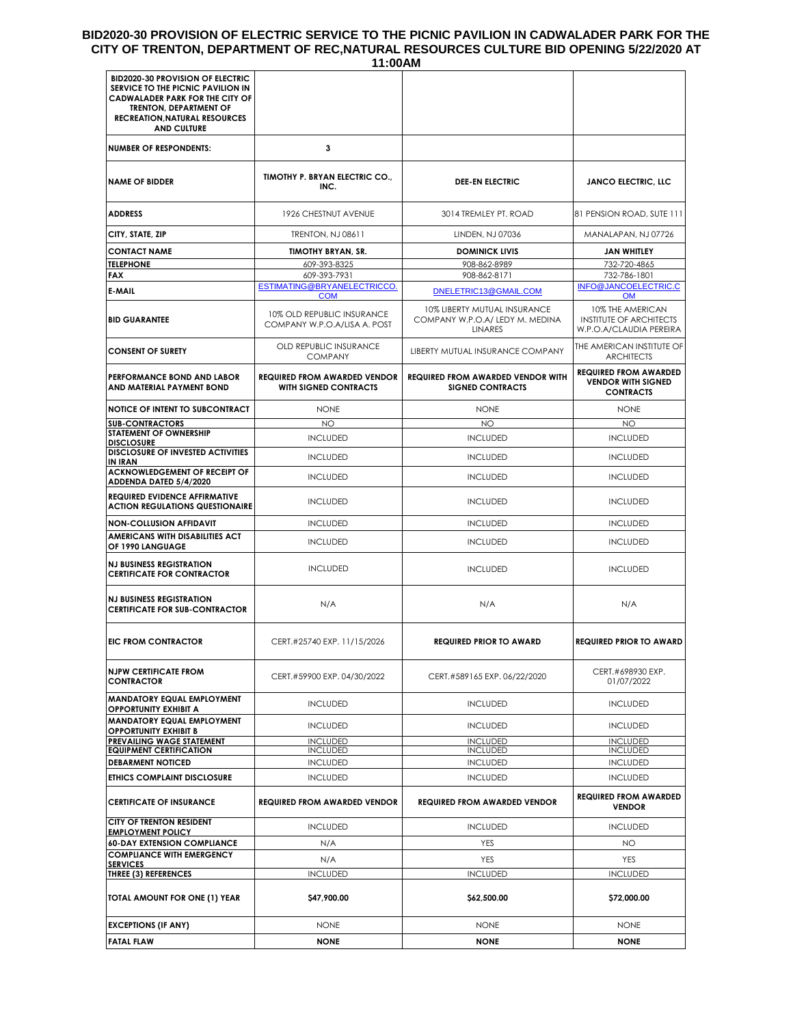# **BID2020-30 PROVISION OF ELECTRIC SERVICE TO THE PICNIC PAVILION IN CADWALADER PARK FOR THE CITY OF TRENTON, DEPARTMENT OF REC,NATURAL RESOURCES CULTURE BID OPENING 5/22/2020 AT**

| 11:00AM                                                                                                                                                                                                               |                                                              |                                                                                   |                                                                               |  |  |
|-----------------------------------------------------------------------------------------------------------------------------------------------------------------------------------------------------------------------|--------------------------------------------------------------|-----------------------------------------------------------------------------------|-------------------------------------------------------------------------------|--|--|
| <b>BID2020-30 PROVISION OF ELECTRIC</b><br>SERVICE TO THE PICNIC PAVILION IN<br><b>CADWALADER PARK FOR THE CITY OF</b><br><b>TRENTON, DEPARTMENT OF</b><br><b>RECREATION, NATURAL RESOURCES</b><br><b>AND CULTURE</b> |                                                              |                                                                                   |                                                                               |  |  |
| <b>NUMBER OF RESPONDENTS:</b>                                                                                                                                                                                         | 3                                                            |                                                                                   |                                                                               |  |  |
| <b>NAME OF BIDDER</b>                                                                                                                                                                                                 | TIMOTHY P. BRYAN ELECTRIC CO.,<br>INC.                       | <b>DEE-EN ELECTRIC</b>                                                            | <b>JANCO ELECTRIC, LLC</b>                                                    |  |  |
| ADDRESS                                                                                                                                                                                                               | 1926 CHESTNUT AVENUE                                         | 3014 TREMLEY PT. ROAD                                                             | 81 PENSION ROAD, SUTE 111                                                     |  |  |
| CITY, STATE, ZIP                                                                                                                                                                                                      | <b>TRENTON, NJ 08611</b>                                     | LINDEN, NJ 07036                                                                  | MANALAPAN, NJ 07726                                                           |  |  |
| <b>CONTACT NAME</b>                                                                                                                                                                                                   | <b>TIMOTHY BRYAN, SR.</b>                                    | <b>DOMINICK LIVIS</b>                                                             | <b>JAN WHITLEY</b>                                                            |  |  |
| <b>TELEPHONE</b>                                                                                                                                                                                                      | 609-393-8325                                                 | 908-862-8989                                                                      | 732-720-4865                                                                  |  |  |
| FAX                                                                                                                                                                                                                   | 609-393-7931                                                 | 908-862-8171                                                                      | 732-786-1801                                                                  |  |  |
| E-MAIL                                                                                                                                                                                                                | ESTIMATING@BRYANELECTRICCO.<br><b>COM</b>                    | DNELETRIC13@GMAIL.COM                                                             | INFO@JANCOELECTRIC.C<br><b>OM</b>                                             |  |  |
| <b>BID GUARANTEE</b>                                                                                                                                                                                                  | 10% OLD REPUBLIC INSURANCE<br>COMPANY W.P.O.A/LISA A. POST   | 10% LIBERTY MUTUAL INSURANCE<br>COMPANY W.P.O.A/ LEDY M. MEDINA<br><b>LINARES</b> | 10% THE AMERICAN<br><b>INSTITUTE OF ARCHITECTS</b><br>W.P.O.A/CLAUDIA PEREIRA |  |  |
| <b>CONSENT OF SURETY</b>                                                                                                                                                                                              | OLD REPUBLIC INSURANCE<br><b>COMPANY</b>                     | LIBERTY MUTUAL INSURANCE COMPANY                                                  | THE AMERICAN INSTITUTE OF<br><b>ARCHITECTS</b>                                |  |  |
| PERFORMANCE BOND AND LABOR<br>AND MATERIAL PAYMENT BOND                                                                                                                                                               | <b>REQUIRED FROM AWARDED VENDOR</b><br>WITH SIGNED CONTRACTS | <b>REQUIRED FROM AWARDED VENDOR WITH</b><br><b>SIGNED CONTRACTS</b>               | <b>REQUIRED FROM AWARDED</b><br><b>VENDOR WITH SIGNED</b><br><b>CONTRACTS</b> |  |  |
| <b>NOTICE OF INTENT TO SUBCONTRACT</b>                                                                                                                                                                                | <b>NONE</b>                                                  | <b>NONE</b>                                                                       | <b>NONE</b>                                                                   |  |  |
| <b>SUB-CONTRACTORS</b><br>STATEMENT OF OWNERSHIP                                                                                                                                                                      | <b>NO</b>                                                    | <b>NO</b>                                                                         | <b>NO</b>                                                                     |  |  |
| <b>DISCLOSURE</b><br><b>DISCLOSURE OF INVESTED ACTIVITIES</b>                                                                                                                                                         | <b>INCLUDED</b>                                              | <b>INCLUDED</b>                                                                   | <b>INCLUDED</b>                                                               |  |  |
| IN IRAN                                                                                                                                                                                                               | <b>INCLUDED</b>                                              | <b>INCLUDED</b>                                                                   | <b>INCLUDED</b>                                                               |  |  |
| <b>ACKNOWLEDGEMENT OF RECEIPT OF</b><br>ADDENDA DATED 5/4/2020                                                                                                                                                        | <b>INCLUDED</b>                                              | <b>INCLUDED</b>                                                                   | <b>INCLUDED</b>                                                               |  |  |
| <b>REQUIRED EVIDENCE AFFIRMATIVE</b><br><b>ACTION REGULATIONS QUESTIONAIRE</b>                                                                                                                                        | <b>INCLUDED</b>                                              | <b>INCLUDED</b>                                                                   | <b>INCLUDED</b>                                                               |  |  |
| NON-COLLUSION AFFIDAVIT                                                                                                                                                                                               | <b>INCLUDED</b>                                              | <b>INCLUDED</b>                                                                   | <b>INCLUDED</b>                                                               |  |  |
| AMERICANS WITH DISABILITIES ACT<br>OF 1990 LANGUAGE                                                                                                                                                                   | <b>INCLUDED</b>                                              | <b>INCLUDED</b>                                                                   | <b>INCLUDED</b>                                                               |  |  |
| <b>NJ BUSINESS REGISTRATION</b><br><b>CERTIFICATE FOR CONTRACTOR</b>                                                                                                                                                  | <b>INCLUDED</b>                                              | <b>INCLUDED</b>                                                                   | <b>INCLUDED</b>                                                               |  |  |
| <b>NJ BUSINESS REGISTRATION</b><br><b>CERTIFICATE FOR SUB-CONTRACTOR</b>                                                                                                                                              | N/A                                                          | N/A                                                                               | N/A                                                                           |  |  |
| <b>EIC FROM CONTRACTOR</b>                                                                                                                                                                                            | CERT.#25740 EXP. 11/15/2026                                  | <b>REQUIRED PRIOR TO AWARD</b>                                                    | <b>REQUIRED PRIOR TO AWARD</b>                                                |  |  |
| <b>NJPW CERTIFICATE FROM</b><br><b>CONTRACTOR</b>                                                                                                                                                                     | CERT.#59900 EXP. 04/30/2022                                  | CERT.#589165 EXP. 06/22/2020                                                      | CERT.#698930 EXP.<br>01/07/2022                                               |  |  |
| <b>MANDATORY EQUAL EMPLOYMENT</b><br><b>OPPORTUNITY EXHIBIT A</b>                                                                                                                                                     | <b>INCLUDED</b>                                              | <b>INCLUDED</b>                                                                   | <b>INCLUDED</b>                                                               |  |  |
| <b>MANDATORY EQUAL EMPLOYMENT</b><br><b>OPPORTUNITY EXHIBIT B</b>                                                                                                                                                     | <b>INCLUDED</b>                                              | <b>INCLUDED</b>                                                                   | <b>INCLUDED</b>                                                               |  |  |
| PREVAILING WAGE STATEMENT                                                                                                                                                                                             | <b>INCLUDED</b>                                              | <b>INCLUDED</b>                                                                   | <b>INCLUDED</b>                                                               |  |  |
| <b>EQUIPMENT CERTIFICATION</b>                                                                                                                                                                                        | <b>INCLUDED</b>                                              | <b>INCLUDED</b>                                                                   | <b>INCLUDED</b>                                                               |  |  |
| <b>DEBARMENT NOTICED</b><br>ETHICS COMPLAINT DISCLOSURE                                                                                                                                                               | <b>INCLUDED</b><br><b>INCLUDED</b>                           | <b>INCLUDED</b><br><b>INCLUDED</b>                                                | <b>INCLUDED</b><br><b>INCLUDED</b>                                            |  |  |
| <b>CERTIFICATE OF INSURANCE</b>                                                                                                                                                                                       | <b>REQUIRED FROM AWARDED VENDOR</b>                          | <b>REQUIRED FROM AWARDED VENDOR</b>                                               | <b>REQUIRED FROM AWARDED</b>                                                  |  |  |
| <b>CITY OF TRENTON RESIDENT</b>                                                                                                                                                                                       |                                                              |                                                                                   | <b>VENDOR</b>                                                                 |  |  |
| <b>EMPLOYMENT POLICY</b>                                                                                                                                                                                              | <b>INCLUDED</b>                                              | <b>INCLUDED</b>                                                                   | <b>INCLUDED</b>                                                               |  |  |
| <b>60-DAY EXTENSION COMPLIANCE</b><br><b>COMPLIANCE WITH EMERGENCY</b>                                                                                                                                                | N/A                                                          | YES                                                                               | ΝO                                                                            |  |  |
| <b>SERVICES</b>                                                                                                                                                                                                       | N/A                                                          | YES                                                                               | YES                                                                           |  |  |
| <b>THREE (3) REFERENCES</b>                                                                                                                                                                                           | <b>INCLUDED</b>                                              | <b>INCLUDED</b>                                                                   | <b>INCLUDED</b>                                                               |  |  |
| TOTAL AMOUNT FOR ONE (1) YEAR                                                                                                                                                                                         | \$47,900.00                                                  | \$62,500.00                                                                       | \$72,000.00                                                                   |  |  |
| <b>EXCEPTIONS (IF ANY)</b>                                                                                                                                                                                            | <b>NONE</b>                                                  | <b>NONE</b>                                                                       | <b>NONE</b>                                                                   |  |  |
| <b>FATAL FLAW</b>                                                                                                                                                                                                     | <b>NONE</b>                                                  | <b>NONE</b>                                                                       | <b>NONE</b>                                                                   |  |  |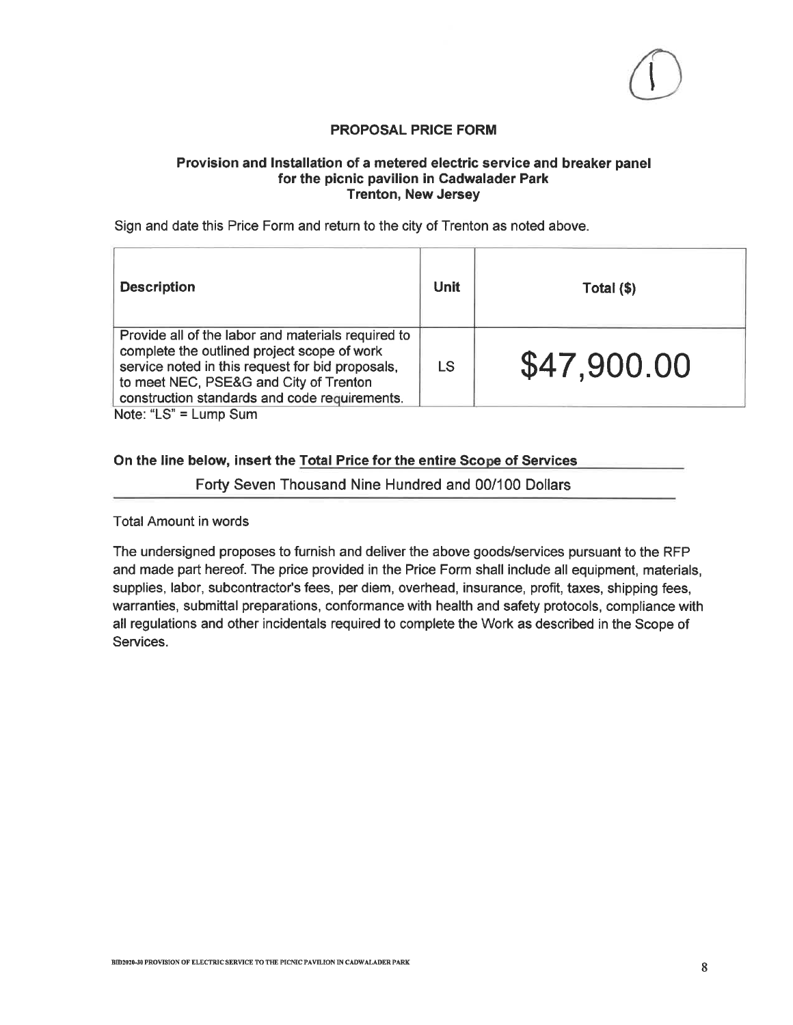# **PROPOSAL PRICE FORM**

### Provision and Installation of a metered electric service and breaker panel for the picnic pavilion in Cadwalader Park **Trenton, New Jersey**

Sign and date this Price Form and return to the city of Trenton as noted above.

| <b>Description</b>                                                                                                                                                                                                                               | <b>Unit</b> | Total (\$)  |
|--------------------------------------------------------------------------------------------------------------------------------------------------------------------------------------------------------------------------------------------------|-------------|-------------|
| Provide all of the labor and materials required to<br>complete the outlined project scope of work<br>service noted in this request for bid proposals,<br>to meet NEC, PSE&G and City of Trenton<br>construction standards and code requirements. |             | \$47,900.00 |
| Note: "LS" = Lump Sum                                                                                                                                                                                                                            |             |             |

On the line below, insert the Total Price for the entire Scope of Services

Forty Seven Thousand Nine Hundred and 00/100 Dollars

**Total Amount in words** 

The undersigned proposes to furnish and deliver the above goods/services pursuant to the RFP and made part hereof. The price provided in the Price Form shall include all equipment, materials, supplies, labor, subcontractor's fees, per diem, overhead, insurance, profit, taxes, shipping fees, warranties, submittal preparations, conformance with health and safety protocols, compliance with all regulations and other incidentals required to complete the Work as described in the Scope of Services.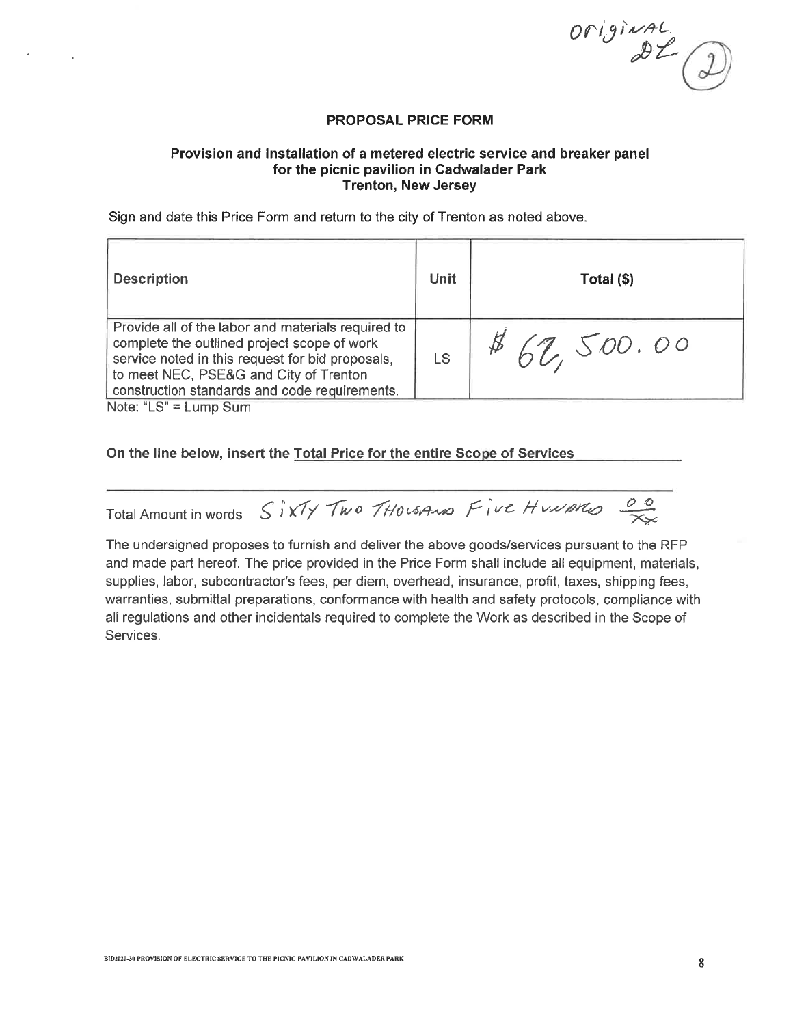$\begin{array}{c}\nO(f) \sim \text{R} \rightarrow \text{R} \rightarrow \text{R} \rightarrow \text{R} \rightarrow \text{R} \rightarrow \text{R} \rightarrow \text{R} \rightarrow \text{R} \rightarrow \text{R} \rightarrow \text{R} \rightarrow \text{R} \rightarrow \text{R} \rightarrow \text{R} \rightarrow \text{R} \rightarrow \text{R} \rightarrow \text{R} \rightarrow \text{R} \rightarrow \text{R} \rightarrow \text{R} \rightarrow \text{R} \rightarrow \text{R} \rightarrow \text{R} \rightarrow \text{R} \rightarrow \text{R} \rightarrow \text{R} \rightarrow \text{R} \rightarrow \text{R} \rightarrow \text{R} \rightarrow \text{R} \rightarrow \text{R$ 

#### **PROPOSAL PRICE FORM**

### Provision and Installation of a metered electric service and breaker panel for the picnic pavilion in Cadwalader Park **Trenton, New Jersey**

Sign and date this Price Form and return to the city of Trenton as noted above.

| <b>Description</b>                                                                                                                                                                                                                               | Unit | Total (\$) |
|--------------------------------------------------------------------------------------------------------------------------------------------------------------------------------------------------------------------------------------------------|------|------------|
| Provide all of the labor and materials required to<br>complete the outlined project scope of work<br>service noted in this request for bid proposals,<br>to meet NEC, PSE&G and City of Trenton<br>construction standards and code requirements. |      | 862,500.00 |

Note: " $LS$ " = Lump Sum

### On the line below, insert the Total Price for the entire Scope of Services

Total Amount in words SixTy Two THOLSAMO Five Humphon

The undersigned proposes to furnish and deliver the above goods/services pursuant to the RFP and made part hereof. The price provided in the Price Form shall include all equipment, materials, supplies, labor, subcontractor's fees, per diem, overhead, insurance, profit, taxes, shipping fees, warranties, submittal preparations, conformance with health and safety protocols, compliance with all regulations and other incidentals required to complete the Work as described in the Scope of Services.